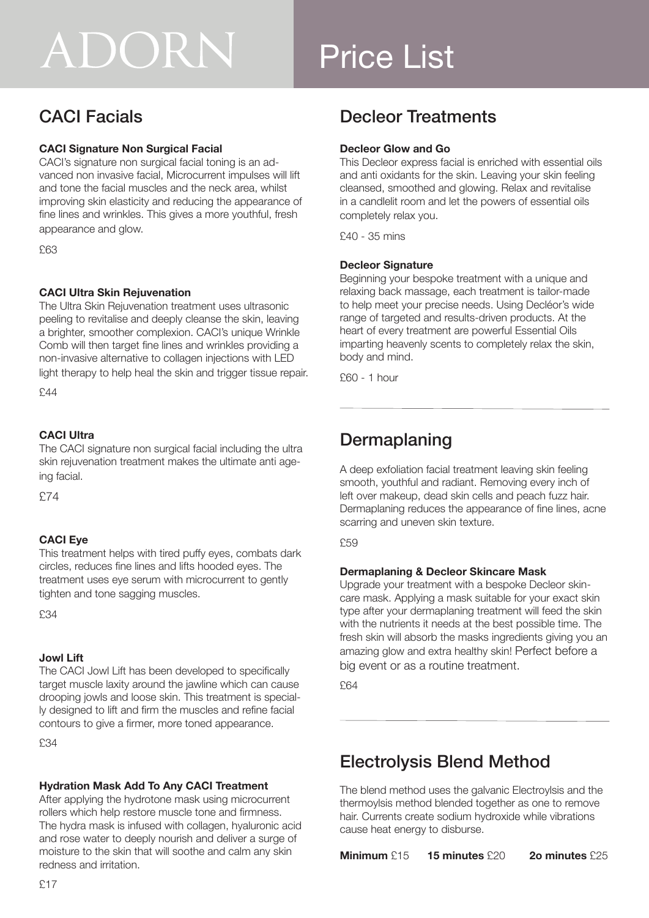# ADORN

## Price List

## CACI Facials

#### **CACI Signature Non Surgical Facial**

CACI's signature non surgical facial toning is an advanced non invasive facial, Microcurrent impulses will lift and tone the facial muscles and the neck area, whilst improving skin elasticity and reducing the appearance of fine lines and wrinkles. This gives a more youthful, fresh appearance and glow.

£63

#### **CACI Ultra Skin Rejuvenation**

The Ultra Skin Rejuvenation treatment uses ultrasonic peeling to revitalise and deeply cleanse the skin, leaving a brighter, smoother complexion. CACI's unique Wrinkle Comb will then target fine lines and wrinkles providing a non-invasive alternative to collagen injections with LED light therapy to help heal the skin and trigger tissue repair.

£44

#### **CACI Ultra**

The CACI signature non surgical facial including the ultra skin rejuvenation treatment makes the ultimate anti ageing facial.

£74

#### **CACI Eye**

This treatment helps with tired puffy eyes, combats dark circles, reduces fine lines and lifts hooded eyes. The treatment uses eye serum with microcurrent to gently tighten and tone sagging muscles.

£34

#### **Jowl Lift**

The CACI Jowl Lift has been developed to specifically target muscle laxity around the jawline which can cause drooping jowls and loose skin. This treatment is specially designed to lift and firm the muscles and refine facial contours to give a firmer, more toned appearance.

£34

#### **Hydration Mask Add To Any CACI Treatment**

After applying the hydrotone mask using microcurrent rollers which help restore muscle tone and firmness. The hydra mask is infused with collagen, hyaluronic acid and rose water to deeply nourish and deliver a surge of moisture to the skin that will soothe and calm any skin redness and irritation.

## Decleor Treatments

#### **Decleor Glow and Go**

This Decleor express facial is enriched with essential oils and anti oxidants for the skin. Leaving your skin feeling cleansed, smoothed and glowing. Relax and revitalise in a candlelit room and let the powers of essential oils completely relax you.

£40 - 35 mins

#### **Decleor Signature**

Beginning your bespoke treatment with a unique and relaxing back massage, each treatment is tailor-made to help meet your precise needs. Using Decléor's wide range of targeted and results-driven products. At the heart of every treatment are powerful Essential Oils imparting heavenly scents to completely relax the skin, body and mind.

£60 - 1 hour

## Dermaplaning

A deep exfoliation facial treatment leaving skin feeling smooth, youthful and radiant. Removing every inch of left over makeup, dead skin cells and peach fuzz hair. Dermaplaning reduces the appearance of fine lines, acne scarring and uneven skin texture.

£59

#### **Dermaplaning & Decleor Skincare Mask**

Upgrade your treatment with a bespoke Decleor skincare mask. Applying a mask suitable for your exact skin type after your dermaplaning treatment will feed the skin with the nutrients it needs at the best possible time. The fresh skin will absorb the masks ingredients giving you an amazing glow and extra healthy skin! Perfect before a big event or as a routine treatment.

£64

## Electrolysis Blend Method

The blend method uses the galvanic Electroylsis and the thermoylsis method blended together as one to remove hair. Currents create sodium hydroxide while vibrations cause heat energy to disburse.

**Minimum** £15 **15 minutes** £20 **2o minutes** £25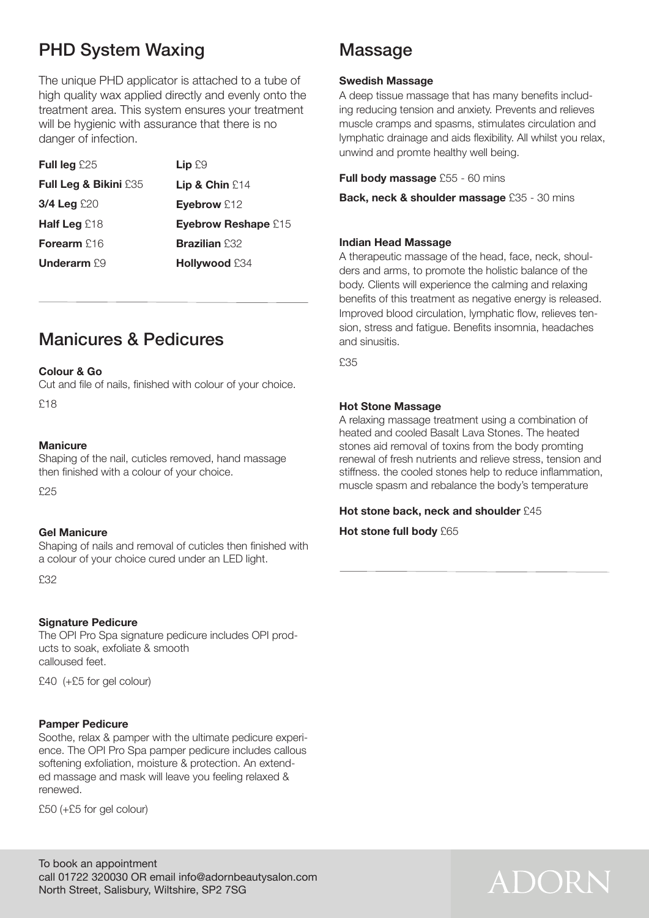## PHD System Waxing

The unique PHD applicator is attached to a tube of high quality wax applied directly and evenly onto the treatment area. This system ensures your treatment will be hygienic with assurance that there is no danger of infection.

| <b>Full leg</b> $£25$            | $Lip$ $E9$                 |
|----------------------------------|----------------------------|
| <b>Full Leg &amp; Bikini £35</b> | Lip & Chin $£14$           |
| $3/4$ Leg £20                    | Eyebrow £12                |
| <b>Half Leg</b> $£18$            | <b>Eyebrow Reshape £15</b> |
| Forearm $£16$                    | <b>Brazilian £32</b>       |
| <b>Underarm</b> $£9$             | Hollywood £34              |

### Manicures & Pedicures

#### **Colour & Go**

Cut and file of nails, finished with colour of your choice.

£18

#### **Manicure**

Shaping of the nail, cuticles removed, hand massage then finished with a colour of your choice.

£25

#### **Gel Manicure**

Shaping of nails and removal of cuticles then finished with a colour of your choice cured under an LED light.

£32

#### **Signature Pedicure**

The OPI Pro Spa signature pedicure includes OPI products to soak, exfoliate & smooth calloused feet.

£40 (+£5 for gel colour)

#### **Pamper Pedicure**

Soothe, relax & pamper with the ultimate pedicure experience. The OPI Pro Spa pamper pedicure includes callous softening exfoliation, moisture & protection. An extended massage and mask will leave you feeling relaxed & renewed.

£50 (+£5 for gel colour)

### Massage

#### **Swedish Massage**

A deep tissue massage that has many benefits including reducing tension and anxiety. Prevents and relieves muscle cramps and spasms, stimulates circulation and lymphatic drainage and aids flexibility. All whilst you relax, unwind and promte healthy well being.

**Full body massage** £55 - 60 mins

**Back, neck & shoulder massage** £35 - 30 mins

#### **Indian Head Massage**

A therapeutic massage of the head, face, neck, shoulders and arms, to promote the holistic balance of the body. Clients will experience the calming and relaxing benefits of this treatment as negative energy is released. Improved blood circulation, lymphatic flow, relieves tension, stress and fatigue. Benefits insomnia, headaches and sinusitis.

£35

#### **Hot Stone Massage**

A relaxing massage treatment using a combination of heated and cooled Basalt Lava Stones. The heated stones aid removal of toxins from the body promting renewal of fresh nutrients and relieve stress, tension and stiffness. the cooled stones help to reduce inflammation, muscle spasm and rebalance the body's temperature

#### **Hot stone back, neck and shoulder** £45

**Hot stone full body** £65